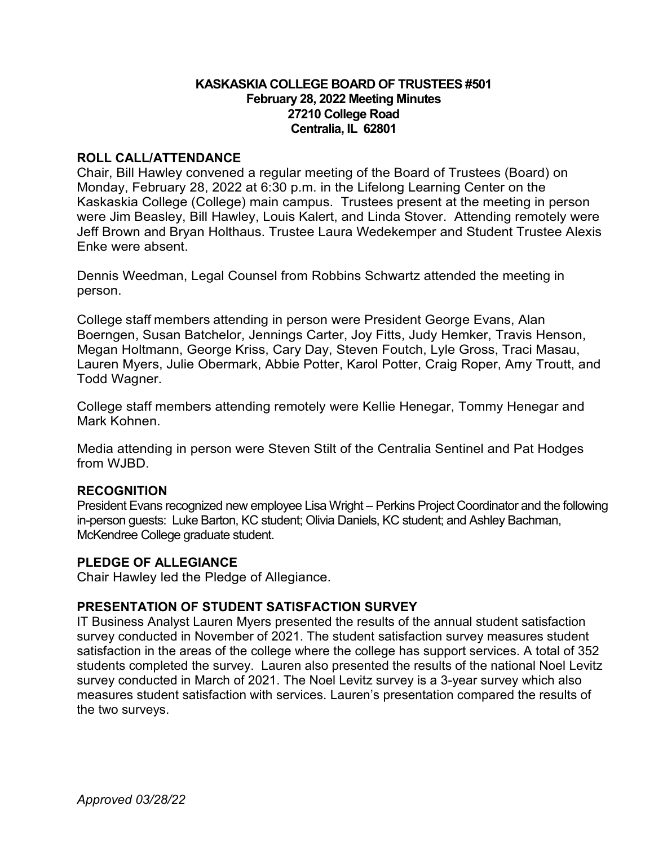#### **KASKASKIA COLLEGE BOARD OF TRUSTEES #501 February 28, 2022 Meeting Minutes 27210 College Road Centralia, IL 62801**

#### **ROLL CALL/ATTENDANCE**

Chair, Bill Hawley convened a regular meeting of the Board of Trustees (Board) on Monday, February 28, 2022 at 6:30 p.m. in the Lifelong Learning Center on the Kaskaskia College (College) main campus. Trustees present at the meeting in person were Jim Beasley, Bill Hawley, Louis Kalert, and Linda Stover. Attending remotely were Jeff Brown and Bryan Holthaus. Trustee Laura Wedekemper and Student Trustee Alexis Enke were absent.

Dennis Weedman, Legal Counsel from Robbins Schwartz attended the meeting in person.

College staff members attending in person were President George Evans, Alan Boerngen, Susan Batchelor, Jennings Carter, Joy Fitts, Judy Hemker, Travis Henson, Megan Holtmann, George Kriss, Cary Day, Steven Foutch, Lyle Gross, Traci Masau, Lauren Myers, Julie Obermark, Abbie Potter, Karol Potter, Craig Roper, Amy Troutt, and Todd Wagner.

College staff members attending remotely were Kellie Henegar, Tommy Henegar and Mark Kohnen.

Media attending in person were Steven Stilt of the Centralia Sentinel and Pat Hodges from WJBD.

## **RECOGNITION**

President Evans recognized new employee Lisa Wright – Perkins Project Coordinator and the following in-person guests: Luke Barton, KC student; Olivia Daniels, KC student; and Ashley Bachman, McKendree College graduate student.

#### **PLEDGE OF ALLEGIANCE**

Chair Hawley led the Pledge of Allegiance.

## **PRESENTATION OF STUDENT SATISFACTION SURVEY**

IT Business Analyst Lauren Myers presented the results of the annual student satisfaction survey conducted in November of 2021. The student satisfaction survey measures student satisfaction in the areas of the college where the college has support services. A total of 352 students completed the survey. Lauren also presented the results of the national Noel Levitz survey conducted in March of 2021. The Noel Levitz survey is a 3-year survey which also measures student satisfaction with services. Lauren's presentation compared the results of the two surveys.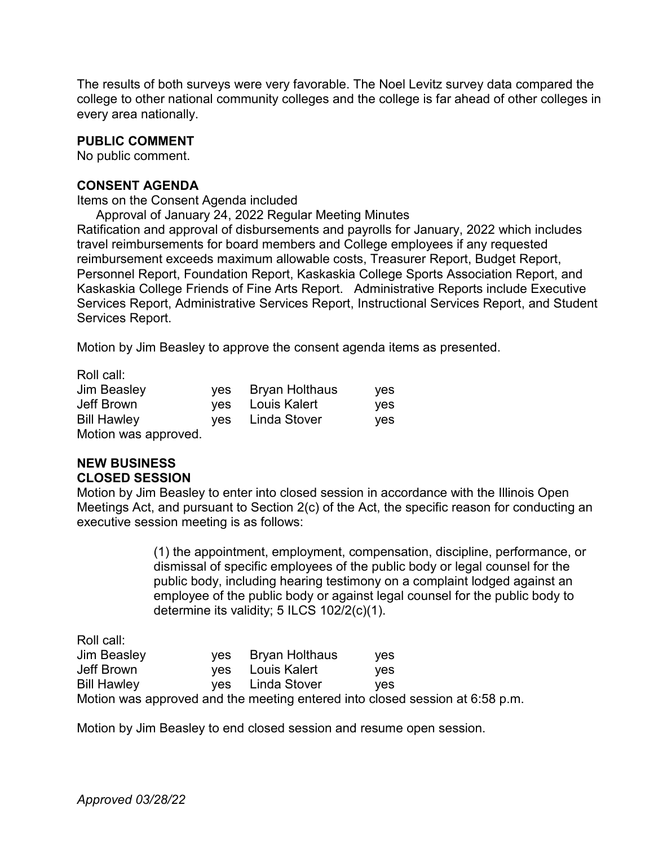The results of both surveys were very favorable. The Noel Levitz survey data compared the college to other national community colleges and the college is far ahead of other colleges in every area nationally.

#### **PUBLIC COMMENT**

No public comment.

#### **CONSENT AGENDA**

Items on the Consent Agenda included

Approval of January 24, 2022 Regular Meeting Minutes

Ratification and approval of disbursements and payrolls for January, 2022 which includes travel reimbursements for board members and College employees if any requested reimbursement exceeds maximum allowable costs, Treasurer Report, Budget Report, Personnel Report, Foundation Report, Kaskaskia College Sports Association Report, and Kaskaskia College Friends of Fine Arts Report. Administrative Reports include Executive Services Report, Administrative Services Report, Instructional Services Report, and Student Services Report.

Motion by Jim Beasley to approve the consent agenda items as presented.

Roll call:

| <b>Jim Beasley</b>   | ves | <b>Bryan Holthaus</b> | <b>ves</b> |
|----------------------|-----|-----------------------|------------|
| Jeff Brown           | ves | Louis Kalert          | <b>ves</b> |
| <b>Bill Hawley</b>   | ves | Linda Stover          | <b>ves</b> |
| Motion was approved. |     |                       |            |

# **NEW BUSINESS CLOSED SESSION**

Motion by Jim Beasley to enter into closed session in accordance with the Illinois Open Meetings Act, and pursuant to Section 2(c) of the Act, the specific reason for conducting an executive session meeting is as follows:

> (1) the appointment, employment, compensation, discipline, performance, or dismissal of specific employees of the public body or legal counsel for the public body, including hearing testimony on a complaint lodged against an employee of the public body or against legal counsel for the public body to determine its validity; 5 ILCS 102/2(c)(1).

Roll call:

| Jim Beasley        | yes Bryan Holthaus | <b>ves</b>                                                                   |
|--------------------|--------------------|------------------------------------------------------------------------------|
| Jeff Brown         | yes Louis Kalert   | <b>ves</b>                                                                   |
| <b>Bill Hawley</b> | yes Linda Stover   | <b>ves</b>                                                                   |
|                    |                    | Motion was approved and the meeting entered into closed session at 6:58 p.m. |

Motion by Jim Beasley to end closed session and resume open session.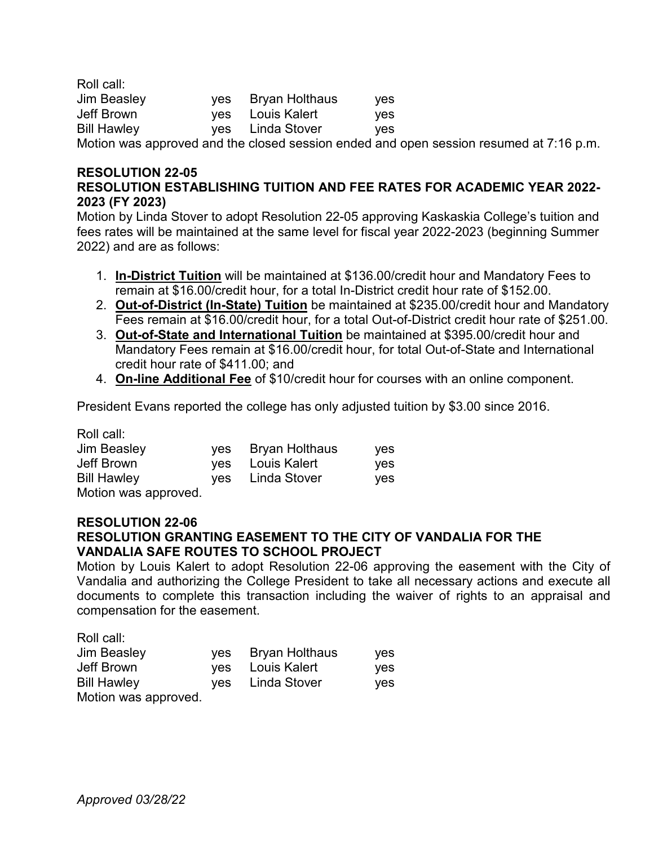| Roll call:         |                    |            |
|--------------------|--------------------|------------|
| <b>Jim Beasley</b> | yes Bryan Holthaus | <b>ves</b> |
| Jeff Brown         | yes Louis Kalert   | ves.       |
| <b>Bill Hawley</b> | yes Linda Stover   | ves.       |
| .                  |                    |            |

Motion was approved and the closed session ended and open session resumed at 7:16 p.m.

#### **RESOLUTION 22-05 RESOLUTION ESTABLISHING TUITION AND FEE RATES FOR ACADEMIC YEAR 2022- 2023 (FY 2023)**

Motion by Linda Stover to adopt Resolution 22-05 approving Kaskaskia College's tuition and fees rates will be maintained at the same level for fiscal year 2022-2023 (beginning Summer 2022) and are as follows:

- 1. **In-District Tuition** will be maintained at \$136.00/credit hour and Mandatory Fees to remain at \$16.00/credit hour, for a total In-District credit hour rate of \$152.00.
- 2. **Out-of-District (In-State) Tuition** be maintained at \$235.00/credit hour and Mandatory Fees remain at \$16.00/credit hour, for a total Out-of-District credit hour rate of \$251.00.
- 3. **Out-of-State and International Tuition** be maintained at \$395.00/credit hour and Mandatory Fees remain at \$16.00/credit hour, for total Out-of-State and International credit hour rate of \$411.00; and
- 4. **On-line Additional Fee** of \$10/credit hour for courses with an online component.

President Evans reported the college has only adjusted tuition by \$3.00 since 2016.

Roll call:

| Jim Beasley         | ves | Bryan Holthaus | <b>ves</b> |
|---------------------|-----|----------------|------------|
| Jeff Brown          | ves | Louis Kalert   | ves.       |
| <b>Bill Hawley</b>  | ves | Linda Stover   | <b>ves</b> |
| Motion was approved |     |                |            |

Motion was approved.

## **RESOLUTION 22-06**

## **RESOLUTION GRANTING EASEMENT TO THE CITY OF VANDALIA FOR THE VANDALIA SAFE ROUTES TO SCHOOL PROJECT**

Motion by Louis Kalert to adopt Resolution 22-06 approving the easement with the City of Vandalia and authorizing the College President to take all necessary actions and execute all documents to complete this transaction including the waiver of rights to an appraisal and compensation for the easement.

Roll call: Jim Beasley yes Bryan Holthaus yes Jeff Brown yes Louis Kalert yes yes Linda Stover yes Motion was approved.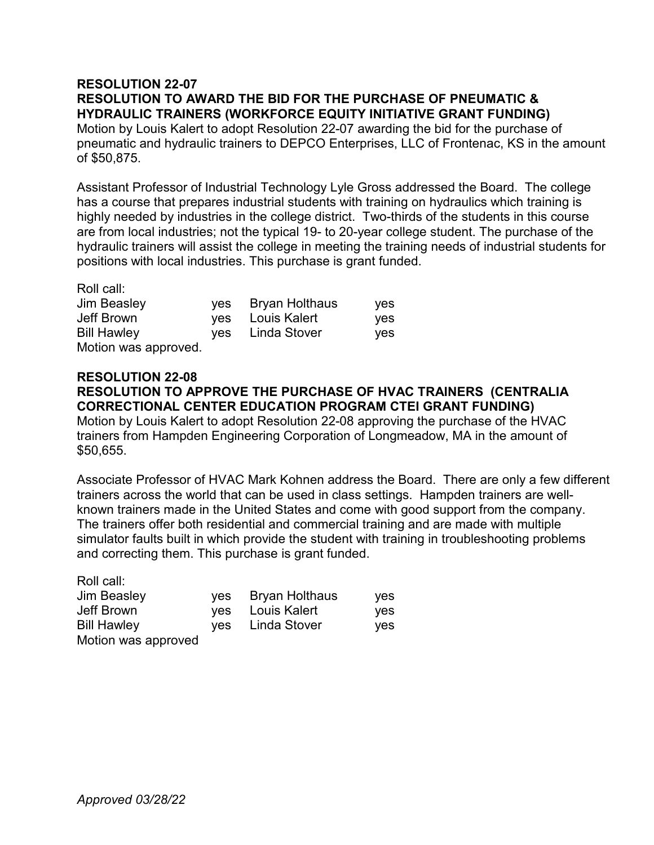# **RESOLUTION 22-07 RESOLUTION TO AWARD THE BID FOR THE PURCHASE OF PNEUMATIC & HYDRAULIC TRAINERS (WORKFORCE EQUITY INITIATIVE GRANT FUNDING)**

Motion by Louis Kalert to adopt Resolution 22-07 awarding the bid for the purchase of pneumatic and hydraulic trainers to DEPCO Enterprises, LLC of Frontenac, KS in the amount of \$50,875.

Assistant Professor of Industrial Technology Lyle Gross addressed the Board. The college has a course that prepares industrial students with training on hydraulics which training is highly needed by industries in the college district. Two-thirds of the students in this course are from local industries; not the typical 19- to 20-year college student. The purchase of the hydraulic trainers will assist the college in meeting the training needs of industrial students for positions with local industries. This purchase is grant funded.

Roll call:

| Jim Beasley                      | yes Bryan Holthaus                   | <b>ves</b>        |
|----------------------------------|--------------------------------------|-------------------|
| Jeff Brown<br><b>Bill Hawley</b> | yes Louis Kalert<br>yes Linda Stover | <b>ves</b><br>yes |
| Motion was approved.             |                                      |                   |

#### **RESOLUTION 22-08 RESOLUTION TO APPROVE THE PURCHASE OF HVAC TRAINERS (CENTRALIA CORRECTIONAL CENTER EDUCATION PROGRAM CTEI GRANT FUNDING)**

Motion by Louis Kalert to adopt Resolution 22-08 approving the purchase of the HVAC trainers from Hampden Engineering Corporation of Longmeadow, MA in the amount of \$50,655.

Associate Professor of HVAC Mark Kohnen address the Board. There are only a few different trainers across the world that can be used in class settings. Hampden trainers are wellknown trainers made in the United States and come with good support from the company. The trainers offer both residential and commercial training and are made with multiple simulator faults built in which provide the student with training in troubleshooting problems and correcting them. This purchase is grant funded.

Roll call:

| <b>Jim Beasley</b>  | yes Bryan Holthaus | <b>ves</b> |
|---------------------|--------------------|------------|
| Jeff Brown          | yes Louis Kalert   | yes        |
| <b>Bill Hawley</b>  | ves Linda Stover   | yes        |
| Motion was approved |                    |            |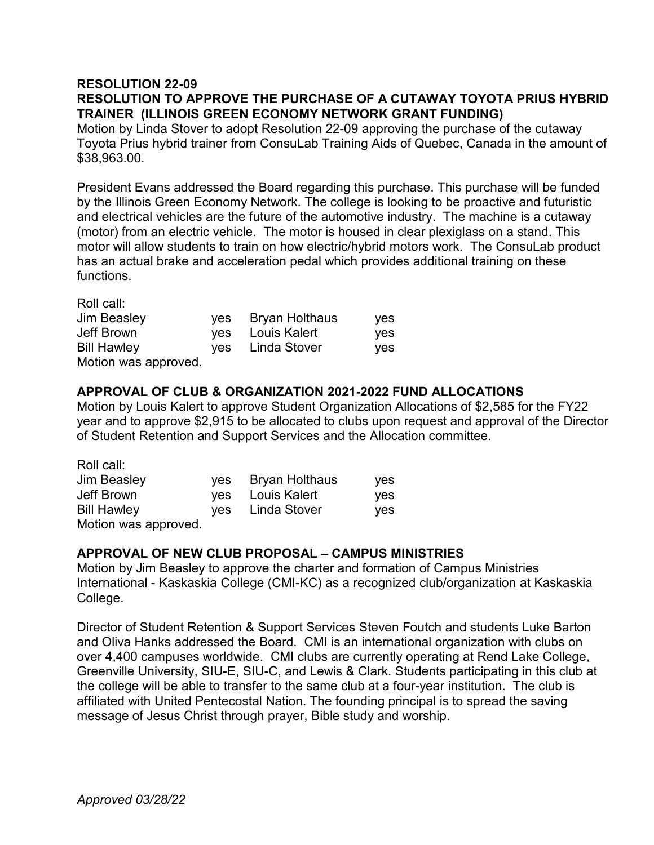## **RESOLUTION 22-09 RESOLUTION TO APPROVE THE PURCHASE OF A CUTAWAY TOYOTA PRIUS HYBRID TRAINER (ILLINOIS GREEN ECONOMY NETWORK GRANT FUNDING)**

Motion by Linda Stover to adopt Resolution 22-09 approving the purchase of the cutaway Toyota Prius hybrid trainer from ConsuLab Training Aids of Quebec, Canada in the amount of \$38,963.00.

President Evans addressed the Board regarding this purchase. This purchase will be funded by the Illinois Green Economy Network. The college is looking to be proactive and futuristic and electrical vehicles are the future of the automotive industry. The machine is a cutaway (motor) from an electric vehicle. The motor is housed in clear plexiglass on a stand. This motor will allow students to train on how electric/hybrid motors work. The ConsuLab product has an actual brake and acceleration pedal which provides additional training on these functions.

Roll call:

| <b>Jim Beasley</b>   | ves | Bryan Holthaus   | yes |
|----------------------|-----|------------------|-----|
| Jeff Brown           |     | yes Louis Kalert | yes |
| <b>Bill Hawley</b>   | ves | Linda Stover     | yes |
| Motion was approved. |     |                  |     |

# **APPROVAL OF CLUB & ORGANIZATION 2021-2022 FUND ALLOCATIONS**

Motion by Louis Kalert to approve Student Organization Allocations of \$2,585 for the FY22 year and to approve \$2,915 to be allocated to clubs upon request and approval of the Director of Student Retention and Support Services and the Allocation committee.

| Roll call:           |     |                       |     |
|----------------------|-----|-----------------------|-----|
| <b>Jim Beasley</b>   | ves | <b>Bryan Holthaus</b> | yes |
| Jeff Brown           | yes | Louis Kalert          | ves |
| <b>Bill Hawley</b>   | ves | Linda Stover          | ves |
| Motion was approved. |     |                       |     |

## **APPROVAL OF NEW CLUB PROPOSAL – CAMPUS MINISTRIES**

Motion by Jim Beasley to approve the charter and formation of Campus Ministries International - Kaskaskia College (CMI-KC) as a recognized club/organization at Kaskaskia College.

Director of Student Retention & Support Services Steven Foutch and students Luke Barton and Oliva Hanks addressed the Board. CMI is an international organization with clubs on over 4,400 campuses worldwide. CMI clubs are currently operating at Rend Lake College, Greenville University, SIU-E, SIU-C, and Lewis & Clark. Students participating in this club at the college will be able to transfer to the same club at a four-year institution. The club is affiliated with United Pentecostal Nation. The founding principal is to spread the saving message of Jesus Christ through prayer, Bible study and worship.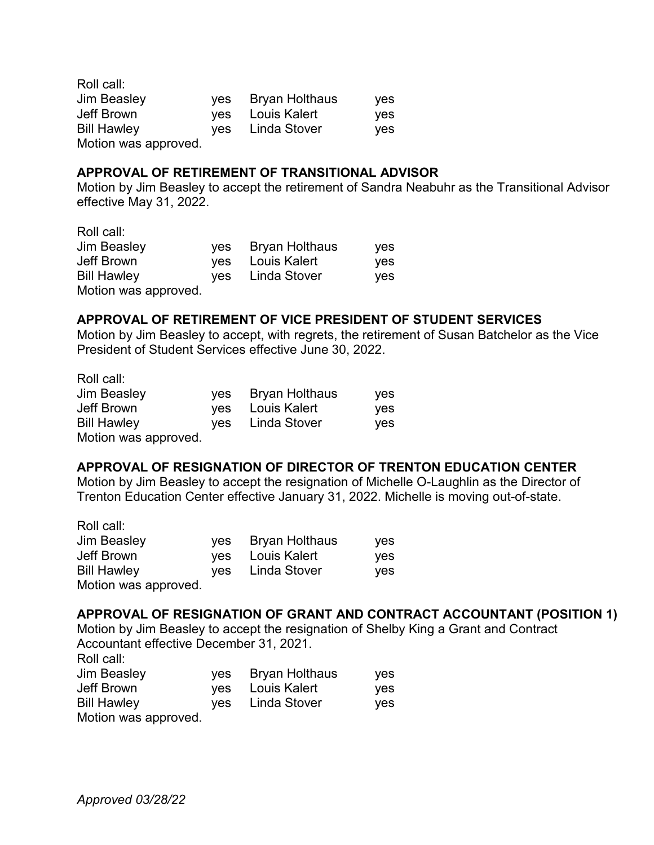Roll call: Jim Beasley yes Bryan Holthaus yes Jeff Brown yes Louis Kalert yes Bill Hawley yes Linda Stover yes Motion was approved.

#### **APPROVAL OF RETIREMENT OF TRANSITIONAL ADVISOR**

Motion by Jim Beasley to accept the retirement of Sandra Neabuhr as the Transitional Advisor effective May 31, 2022.

Roll call:

| Jim Beasley          | yes Bryan Holthaus | <b>ves</b> |
|----------------------|--------------------|------------|
| Jeff Brown           | yes Louis Kalert   | ves        |
| <b>Bill Hawley</b>   | ves Linda Stover   | ves        |
| Motion was approved. |                    |            |

## **APPROVAL OF RETIREMENT OF VICE PRESIDENT OF STUDENT SERVICES**

Motion by Jim Beasley to accept, with regrets, the retirement of Susan Batchelor as the Vice President of Student Services effective June 30, 2022.

| Roll call:           |                    |     |
|----------------------|--------------------|-----|
| <b>Jim Beasley</b>   | yes Bryan Holthaus | yes |
| Jeff Brown           | yes Louis Kalert   | yes |
| <b>Bill Hawley</b>   | ves Linda Stover   | yes |
| Motion was approved. |                    |     |

## **APPROVAL OF RESIGNATION OF DIRECTOR OF TRENTON EDUCATION CENTER**

Motion by Jim Beasley to accept the resignation of Michelle O-Laughlin as the Director of Trenton Education Center effective January 31, 2022. Michelle is moving out-of-state.

| Roll call:           |     |                       |            |
|----------------------|-----|-----------------------|------------|
| Jim Beasley          | ves | <b>Bryan Holthaus</b> | yes        |
| Jeff Brown           | yes | Louis Kalert          | ves        |
| <b>Bill Hawley</b>   |     | yes Linda Stover      | <b>ves</b> |
| Motion was approved. |     |                       |            |

## **APPROVAL OF RESIGNATION OF GRANT AND CONTRACT ACCOUNTANT (POSITION 1)**

Motion by Jim Beasley to accept the resignation of Shelby King a Grant and Contract Accountant effective December 31, 2021.

Roll call:

| <b>Jim Beasley</b>   | yes Bryan Holthaus | yes |
|----------------------|--------------------|-----|
| Jeff Brown           | yes Louis Kalert   | ves |
| <b>Bill Hawley</b>   | yes Linda Stover   | ves |
| Motion was approved. |                    |     |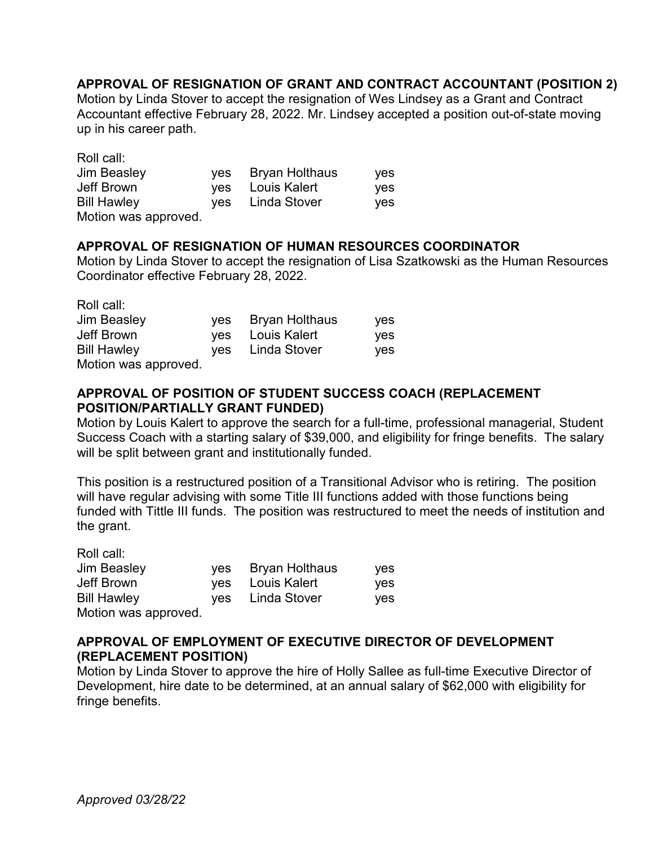# **APPROVAL OF RESIGNATION OF GRANT AND CONTRACT ACCOUNTANT (POSITION 2)**

Motion by Linda Stover to accept the resignation of Wes Lindsey as a Grant and Contract Accountant effective February 28, 2022. Mr. Lindsey accepted a position out-of-state moving up in his career path.

| Roll call:           |     |                       |     |
|----------------------|-----|-----------------------|-----|
| <b>Jim Beasley</b>   | ves | <b>Bryan Holthaus</b> | yes |
| Jeff Brown           | ves | Louis Kalert          | ves |
| <b>Bill Hawley</b>   | ves | Linda Stover          | ves |
| Motion was approved. |     |                       |     |

#### **APPROVAL OF RESIGNATION OF HUMAN RESOURCES COORDINATOR**

Motion by Linda Stover to accept the resignation of Lisa Szatkowski as the Human Resources Coordinator effective February 28, 2022.

Roll call:

| <b>Jim Beasley</b>   | yes Bryan Holthaus | <b>ves</b> |
|----------------------|--------------------|------------|
| Jeff Brown           | yes Louis Kalert   | <b>ves</b> |
| <b>Bill Hawley</b>   | yes Linda Stover   | <b>ves</b> |
| Motion was approved. |                    |            |

## **APPROVAL OF POSITION OF STUDENT SUCCESS COACH (REPLACEMENT POSITION/PARTIALLY GRANT FUNDED)**

Motion by Louis Kalert to approve the search for a full-time, professional managerial, Student Success Coach with a starting salary of \$39,000, and eligibility for fringe benefits. The salary will be split between grant and institutionally funded.

This position is a restructured position of a Transitional Advisor who is retiring. The position will have regular advising with some Title III functions added with those functions being funded with Tittle III funds. The position was restructured to meet the needs of institution and the grant.

| Roll call:           |                    |     |
|----------------------|--------------------|-----|
| <b>Jim Beasley</b>   | yes Bryan Holthaus | yes |
| Jeff Brown           | yes Louis Kalert   | ves |
| <b>Bill Hawley</b>   | yes Linda Stover   | ves |
| Motion was approved. |                    |     |

## **APPROVAL OF EMPLOYMENT OF EXECUTIVE DIRECTOR OF DEVELOPMENT (REPLACEMENT POSITION)**

Motion by Linda Stover to approve the hire of Holly Sallee as full-time Executive Director of Development, hire date to be determined, at an annual salary of \$62,000 with eligibility for fringe benefits.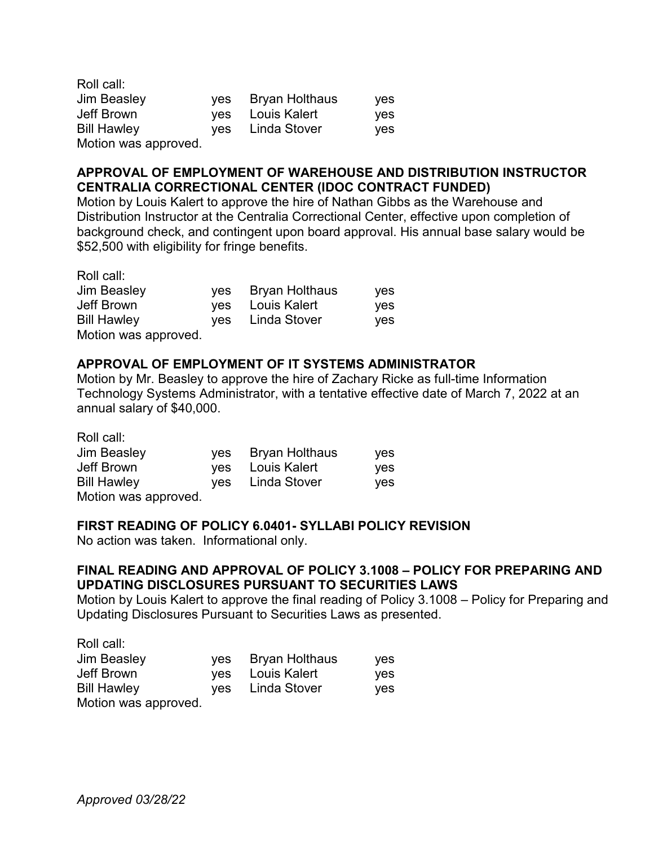| Roll call:           |     |                       |     |
|----------------------|-----|-----------------------|-----|
| <b>Jim Beasley</b>   | ves | <b>Bryan Holthaus</b> | yes |
| Jeff Brown           |     | yes Louis Kalert      | ves |
| <b>Bill Hawley</b>   |     | ves Linda Stover      | yes |
| Motion was approved. |     |                       |     |

# **APPROVAL OF EMPLOYMENT OF WAREHOUSE AND DISTRIBUTION INSTRUCTOR CENTRALIA CORRECTIONAL CENTER (IDOC CONTRACT FUNDED)**

Motion by Louis Kalert to approve the hire of Nathan Gibbs as the Warehouse and Distribution Instructor at the Centralia Correctional Center, effective upon completion of background check, and contingent upon board approval. His annual base salary would be \$52,500 with eligibility for fringe benefits.

Roll call:

| <b>Jim Beasley</b>   | yes Bryan Holthaus | yes |
|----------------------|--------------------|-----|
| Jeff Brown           | yes Louis Kalert   | yes |
| <b>Bill Hawley</b>   | ves Linda Stover   | yes |
| Motion was approved. |                    |     |

# **APPROVAL OF EMPLOYMENT OF IT SYSTEMS ADMINISTRATOR**

Motion by Mr. Beasley to approve the hire of Zachary Ricke as full-time Information Technology Systems Administrator, with a tentative effective date of March 7, 2022 at an annual salary of \$40,000.

Roll call:

| Jim Beasley          | yes Bryan Holthaus | yes |
|----------------------|--------------------|-----|
| Jeff Brown           | yes Louis Kalert   | yes |
| <b>Bill Hawley</b>   | ves Linda Stover   | yes |
| Motion was approved. |                    |     |

## **FIRST READING OF POLICY 6.0401- SYLLABI POLICY REVISION**

No action was taken. Informational only.

# **FINAL READING AND APPROVAL OF POLICY 3.1008 – POLICY FOR PREPARING AND UPDATING DISCLOSURES PURSUANT TO SECURITIES LAWS**

Motion by Louis Kalert to approve the final reading of Policy 3.1008 – Policy for Preparing and Updating Disclosures Pursuant to Securities Laws as presented.

Roll call:

| Jim Beasley         | yes Bryan Holthaus | <b>ves</b> |
|---------------------|--------------------|------------|
| Jeff Brown          | yes Louis Kalert   | yes        |
| <b>Bill Hawley</b>  | yes Linda Stover   | <b>ves</b> |
| Motion was approved |                    |            |

Motion was approved.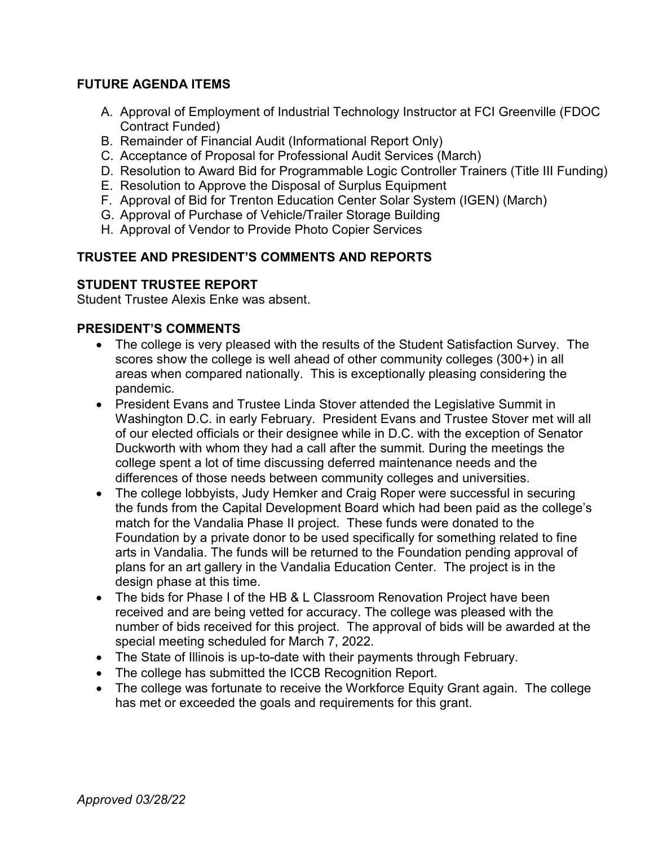# **FUTURE AGENDA ITEMS**

- A. Approval of Employment of Industrial Technology Instructor at FCI Greenville (FDOC Contract Funded)
- B. Remainder of Financial Audit (Informational Report Only)
- C. Acceptance of Proposal for Professional Audit Services (March)
- D. Resolution to Award Bid for Programmable Logic Controller Trainers (Title III Funding)
- E. Resolution to Approve the Disposal of Surplus Equipment
- F. Approval of Bid for Trenton Education Center Solar System (IGEN) (March)
- G. Approval of Purchase of Vehicle/Trailer Storage Building
- H. Approval of Vendor to Provide Photo Copier Services

# **TRUSTEE AND PRESIDENT'S COMMENTS AND REPORTS**

# **STUDENT TRUSTEE REPORT**

Student Trustee Alexis Enke was absent.

# **PRESIDENT'S COMMENTS**

- The college is very pleased with the results of the Student Satisfaction Survey. The scores show the college is well ahead of other community colleges (300+) in all areas when compared nationally. This is exceptionally pleasing considering the pandemic.
- President Evans and Trustee Linda Stover attended the Legislative Summit in Washington D.C. in early February. President Evans and Trustee Stover met will all of our elected officials or their designee while in D.C. with the exception of Senator Duckworth with whom they had a call after the summit. During the meetings the college spent a lot of time discussing deferred maintenance needs and the differences of those needs between community colleges and universities.
- The college lobbyists, Judy Hemker and Craig Roper were successful in securing the funds from the Capital Development Board which had been paid as the college's match for the Vandalia Phase II project. These funds were donated to the Foundation by a private donor to be used specifically for something related to fine arts in Vandalia. The funds will be returned to the Foundation pending approval of plans for an art gallery in the Vandalia Education Center. The project is in the design phase at this time.
- The bids for Phase I of the HB & L Classroom Renovation Project have been received and are being vetted for accuracy. The college was pleased with the number of bids received for this project. The approval of bids will be awarded at the special meeting scheduled for March 7, 2022.
- The State of Illinois is up-to-date with their payments through February.
- The college has submitted the ICCB Recognition Report.
- The college was fortunate to receive the Workforce Equity Grant again. The college has met or exceeded the goals and requirements for this grant.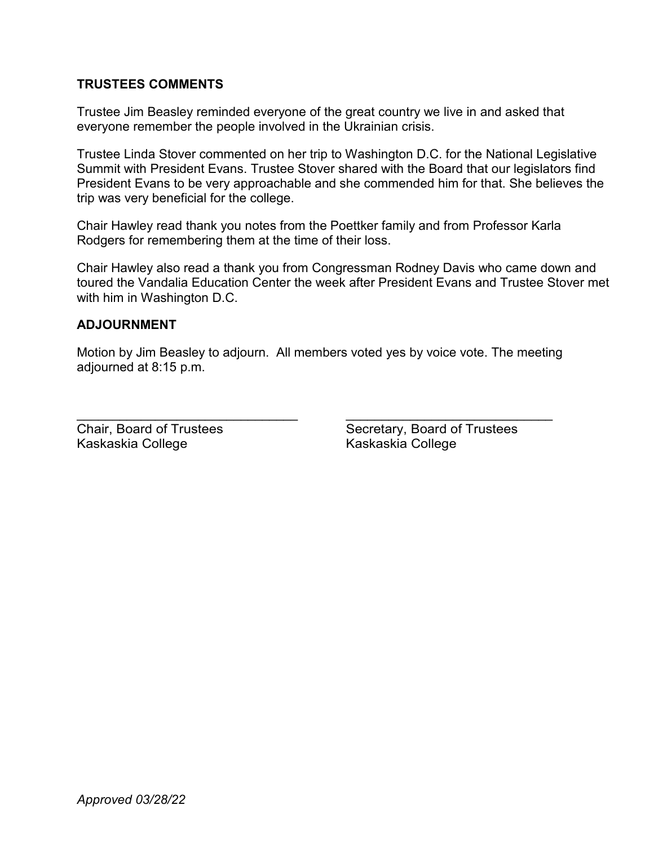## **TRUSTEES COMMENTS**

Trustee Jim Beasley reminded everyone of the great country we live in and asked that everyone remember the people involved in the Ukrainian crisis.

Trustee Linda Stover commented on her trip to Washington D.C. for the National Legislative Summit with President Evans. Trustee Stover shared with the Board that our legislators find President Evans to be very approachable and she commended him for that. She believes the trip was very beneficial for the college.

Chair Hawley read thank you notes from the Poettker family and from Professor Karla Rodgers for remembering them at the time of their loss.

Chair Hawley also read a thank you from Congressman Rodney Davis who came down and toured the Vandalia Education Center the week after President Evans and Trustee Stover met with him in Washington D.C.

## **ADJOURNMENT**

Motion by Jim Beasley to adjourn. All members voted yes by voice vote. The meeting adjourned at 8:15 p.m.

Kaskaskia College Kaskaskia College

\_\_\_\_\_\_\_\_\_\_\_\_\_\_\_\_\_\_\_\_\_\_\_\_\_\_\_\_\_\_\_ \_\_\_\_\_\_\_\_\_\_\_\_\_\_\_\_\_\_\_\_\_\_\_\_\_\_\_\_\_ Chair, Board of Trustees Secretary, Board of Trustees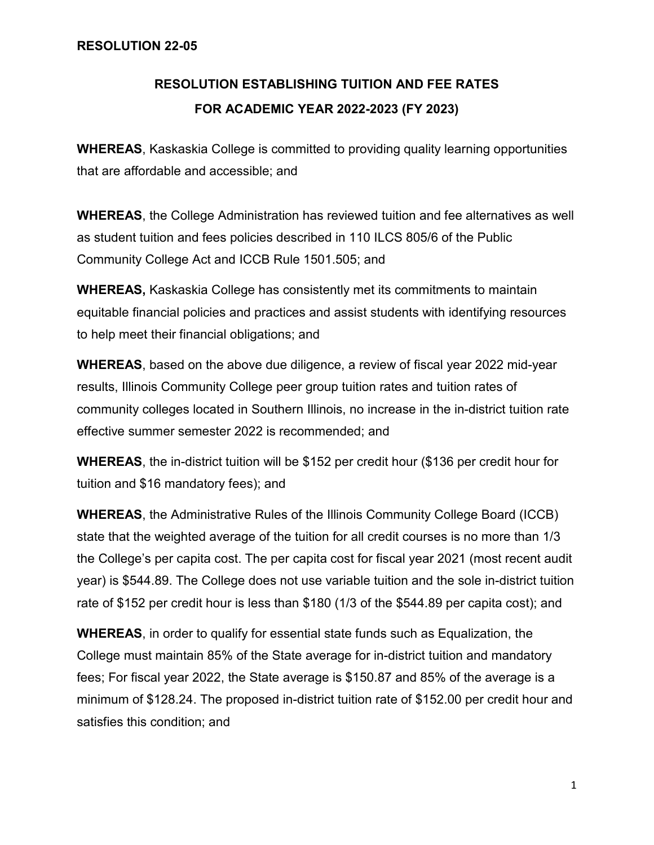# **RESOLUTION ESTABLISHING TUITION AND FEE RATES FOR ACADEMIC YEAR 2022-2023 (FY 2023)**

**WHEREAS**, Kaskaskia College is committed to providing quality learning opportunities that are affordable and accessible; and

**WHEREAS**, the College Administration has reviewed tuition and fee alternatives as well as student tuition and fees policies described in 110 ILCS 805/6 of the Public Community College Act and ICCB Rule 1501.505; and

**WHEREAS,** Kaskaskia College has consistently met its commitments to maintain equitable financial policies and practices and assist students with identifying resources to help meet their financial obligations; and

**WHEREAS**, based on the above due diligence, a review of fiscal year 2022 mid-year results, Illinois Community College peer group tuition rates and tuition rates of community colleges located in Southern Illinois, no increase in the in-district tuition rate effective summer semester 2022 is recommended; and

**WHEREAS**, the in-district tuition will be \$152 per credit hour (\$136 per credit hour for tuition and \$16 mandatory fees); and

**WHEREAS**, the Administrative Rules of the Illinois Community College Board (ICCB) state that the weighted average of the tuition for all credit courses is no more than 1/3 the College's per capita cost. The per capita cost for fiscal year 2021 (most recent audit year) is \$544.89. The College does not use variable tuition and the sole in-district tuition rate of \$152 per credit hour is less than \$180 (1/3 of the \$544.89 per capita cost); and

**WHEREAS**, in order to qualify for essential state funds such as Equalization, the College must maintain 85% of the State average for in-district tuition and mandatory fees; For fiscal year 2022, the State average is \$150.87 and 85% of the average is a minimum of \$128.24. The proposed in-district tuition rate of \$152.00 per credit hour and satisfies this condition; and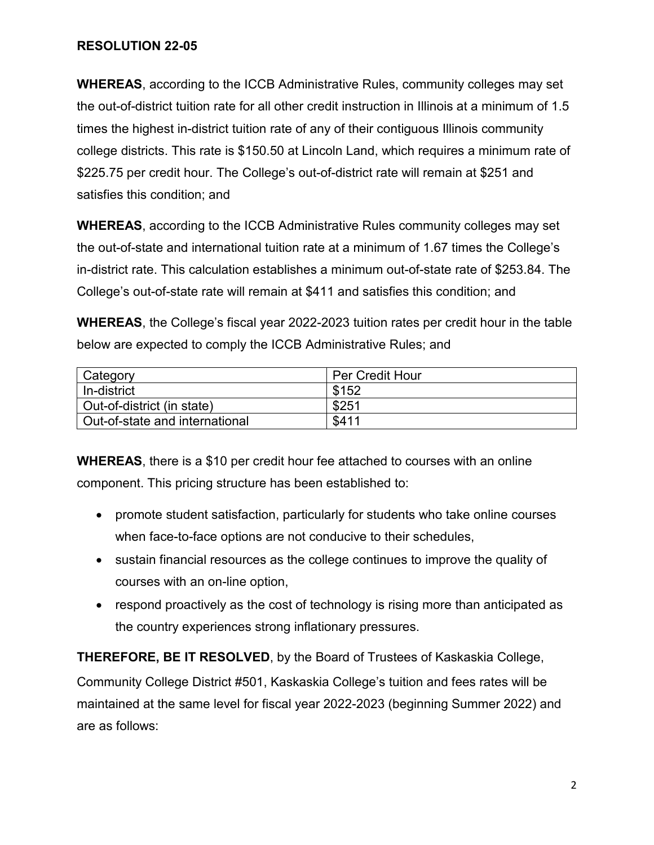# **RESOLUTION 22-05**

**WHEREAS**, according to the ICCB Administrative Rules, community colleges may set the out-of-district tuition rate for all other credit instruction in Illinois at a minimum of 1.5 times the highest in-district tuition rate of any of their contiguous Illinois community college districts. This rate is \$150.50 at Lincoln Land, which requires a minimum rate of \$225.75 per credit hour. The College's out-of-district rate will remain at \$251 and satisfies this condition; and

**WHEREAS**, according to the ICCB Administrative Rules community colleges may set the out-of-state and international tuition rate at a minimum of 1.67 times the College's in-district rate. This calculation establishes a minimum out-of-state rate of \$253.84. The College's out-of-state rate will remain at \$411 and satisfies this condition; and

**WHEREAS**, the College's fiscal year 2022-2023 tuition rates per credit hour in the table below are expected to comply the ICCB Administrative Rules; and

| Category                       | <b>Per Credit Hour</b> |
|--------------------------------|------------------------|
| In-district                    | \$152                  |
| Out-of-district (in state)     | \$251                  |
| Out-of-state and international | \$411                  |

**WHEREAS**, there is a \$10 per credit hour fee attached to courses with an online component. This pricing structure has been established to:

- promote student satisfaction, particularly for students who take online courses when face-to-face options are not conducive to their schedules,
- sustain financial resources as the college continues to improve the quality of courses with an on-line option,
- respond proactively as the cost of technology is rising more than anticipated as the country experiences strong inflationary pressures.

**THEREFORE, BE IT RESOLVED**, by the Board of Trustees of Kaskaskia College,

Community College District #501, Kaskaskia College's tuition and fees rates will be maintained at the same level for fiscal year 2022-2023 (beginning Summer 2022) and are as follows: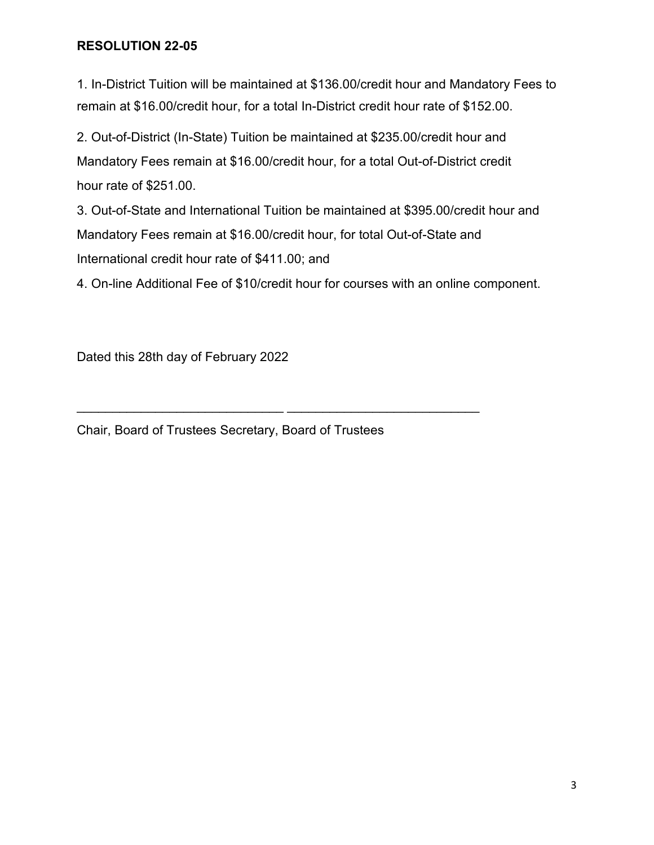# **RESOLUTION 22-05**

1. In-District Tuition will be maintained at \$136.00/credit hour and Mandatory Fees to remain at \$16.00/credit hour, for a total In-District credit hour rate of \$152.00.

2. Out-of-District (In-State) Tuition be maintained at \$235.00/credit hour and Mandatory Fees remain at \$16.00/credit hour, for a total Out-of-District credit hour rate of \$251.00.

3. Out-of-State and International Tuition be maintained at \$395.00/credit hour and Mandatory Fees remain at \$16.00/credit hour, for total Out-of-State and International credit hour rate of \$411.00; and

4. On-line Additional Fee of \$10/credit hour for courses with an online component.

Dated this 28th day of February 2022

Chair, Board of Trustees Secretary, Board of Trustees

\_\_\_\_\_\_\_\_\_\_\_\_\_\_\_\_\_\_\_\_\_\_\_\_\_\_\_\_\_ \_\_\_\_\_\_\_\_\_\_\_\_\_\_\_\_\_\_\_\_\_\_\_\_\_\_\_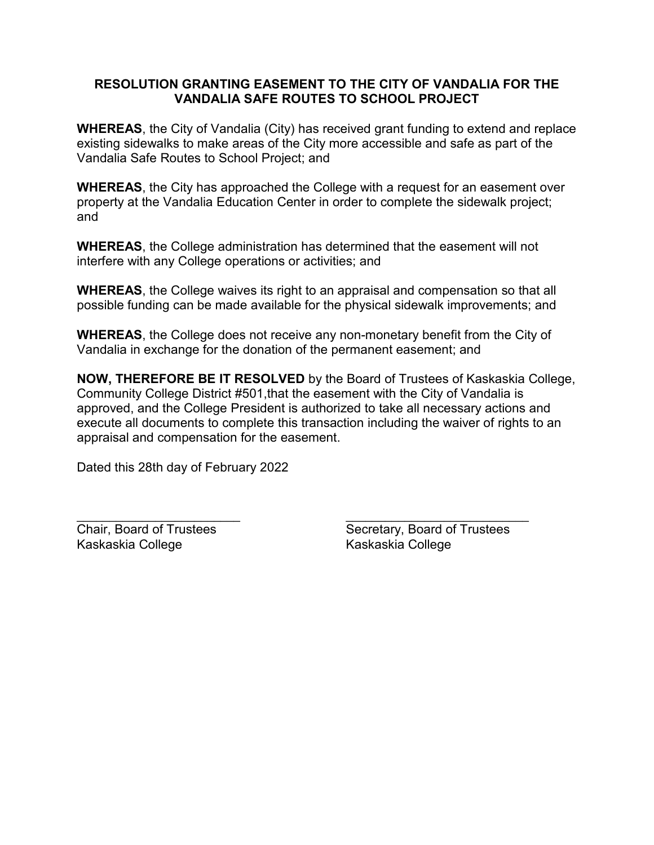## **RESOLUTION GRANTING EASEMENT TO THE CITY OF VANDALIA FOR THE VANDALIA SAFE ROUTES TO SCHOOL PROJECT**

**WHEREAS**, the City of Vandalia (City) has received grant funding to extend and replace existing sidewalks to make areas of the City more accessible and safe as part of the Vandalia Safe Routes to School Project; and

**WHEREAS**, the City has approached the College with a request for an easement over property at the Vandalia Education Center in order to complete the sidewalk project; and

**WHEREAS**, the College administration has determined that the easement will not interfere with any College operations or activities; and

**WHEREAS**, the College waives its right to an appraisal and compensation so that all possible funding can be made available for the physical sidewalk improvements; and

**WHEREAS**, the College does not receive any non-monetary benefit from the City of Vandalia in exchange for the donation of the permanent easement; and

**NOW, THEREFORE BE IT RESOLVED** by the Board of Trustees of Kaskaskia College, Community College District #501,that the easement with the City of Vandalia is approved, and the College President is authorized to take all necessary actions and execute all documents to complete this transaction including the waiver of rights to an appraisal and compensation for the easement.

Dated this 28th day of February 2022

Kaskaskia College Kaskaskia College

 $\overline{\phantom{a}}$  , and the contract of the contract of the contract of the contract of the contract of the contract of the contract of the contract of the contract of the contract of the contract of the contract of the contrac Chair, Board of Trustees Secretary, Board of Trustees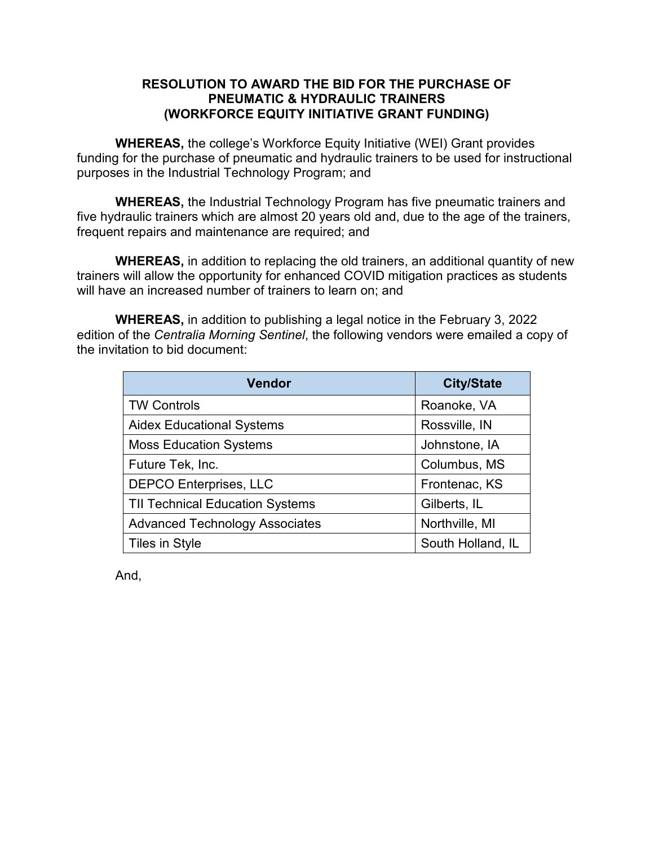## **RESOLUTION TO AWARD THE BID FOR THE PURCHASE OF PNEUMATIC & HYDRAULIC TRAINERS (WORKFORCE EQUITY INITIATIVE GRANT FUNDING)**

**WHEREAS,** the college's Workforce Equity Initiative (WEI) Grant provides funding for the purchase of pneumatic and hydraulic trainers to be used for instructional purposes in the Industrial Technology Program; and

**WHEREAS,** the Industrial Technology Program has five pneumatic trainers and five hydraulic trainers which are almost 20 years old and, due to the age of the trainers, frequent repairs and maintenance are required; and

**WHEREAS,** in addition to replacing the old trainers, an additional quantity of new trainers will allow the opportunity for enhanced COVID mitigation practices as students will have an increased number of trainers to learn on; and

**WHEREAS,** in addition to publishing a legal notice in the February 3, 2022 edition of the *Centralia Morning Sentinel*, the following vendors were emailed a copy of the invitation to bid document:

| <b>Vendor</b>                          | <b>City/State</b> |
|----------------------------------------|-------------------|
| <b>TW Controls</b>                     | Roanoke, VA       |
| <b>Aidex Educational Systems</b>       | Rossville, IN     |
| <b>Moss Education Systems</b>          | Johnstone, IA     |
| Future Tek, Inc.                       | Columbus, MS      |
| <b>DEPCO Enterprises, LLC</b>          | Frontenac, KS     |
| <b>TII Technical Education Systems</b> | Gilberts, IL      |
| <b>Advanced Technology Associates</b>  | Northville, MI    |
| Tiles in Style                         | South Holland, IL |

And,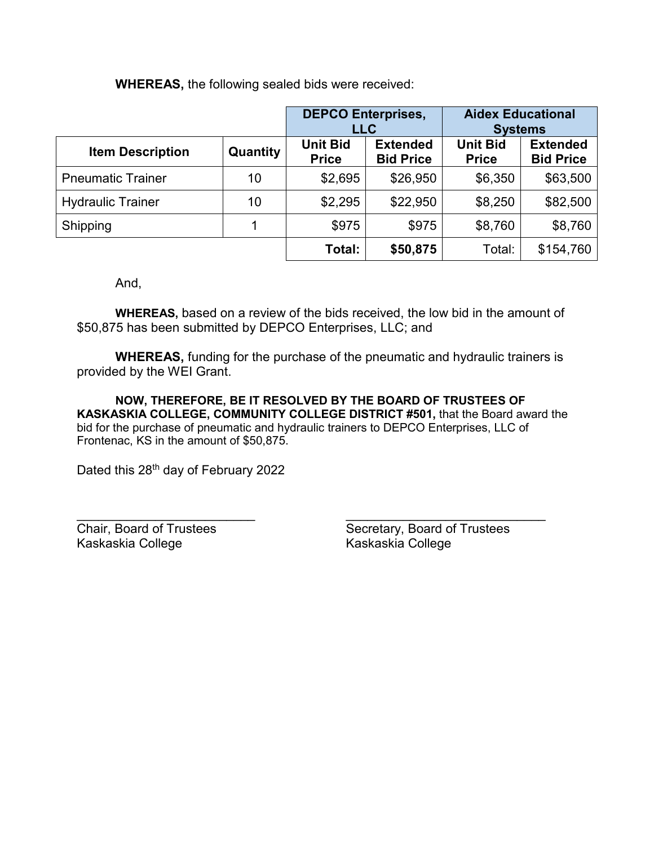**WHEREAS,** the following sealed bids were received:

|                          |          |                                 | <b>DEPCO Enterprises,</b><br><b>LLC</b> |                                 | <b>Aidex Educational</b><br><b>Systems</b> |
|--------------------------|----------|---------------------------------|-----------------------------------------|---------------------------------|--------------------------------------------|
| <b>Item Description</b>  | Quantity | <b>Unit Bid</b><br><b>Price</b> | <b>Extended</b><br><b>Bid Price</b>     | <b>Unit Bid</b><br><b>Price</b> | <b>Extended</b><br><b>Bid Price</b>        |
| <b>Pneumatic Trainer</b> | 10       | \$2,695                         | \$26,950                                | \$6,350                         | \$63,500                                   |
| <b>Hydraulic Trainer</b> | 10       | \$2,295                         | \$22,950                                | \$8,250                         | \$82,500                                   |
| Shipping                 |          | \$975                           | \$975                                   | \$8,760                         | \$8,760                                    |
|                          |          | Total:                          | \$50,875                                | Total:                          | \$154,760                                  |

And,

**WHEREAS,** based on a review of the bids received, the low bid in the amount of \$50,875 has been submitted by DEPCO Enterprises, LLC; and

**WHEREAS,** funding for the purchase of the pneumatic and hydraulic trainers is provided by the WEI Grant.

**NOW, THEREFORE, BE IT RESOLVED BY THE BOARD OF TRUSTEES OF KASKASKIA COLLEGE, COMMUNITY COLLEGE DISTRICT #501,** that the Board award the bid for the purchase of pneumatic and hydraulic trainers to DEPCO Enterprises, LLC of Frontenac, KS in the amount of \$50,875.

Dated this 28<sup>th</sup> day of February 2022

\_\_\_\_\_\_\_\_\_\_\_\_\_\_\_\_\_\_\_\_\_\_\_\_\_ \_\_\_\_\_\_\_\_\_\_\_\_\_\_\_\_\_\_\_\_\_\_\_\_\_\_\_\_ Kaskaskia College

Chair, Board of Trustees<br>
Kaskaskia College<br>
Kaskaskia College<br>
Kaskaskia College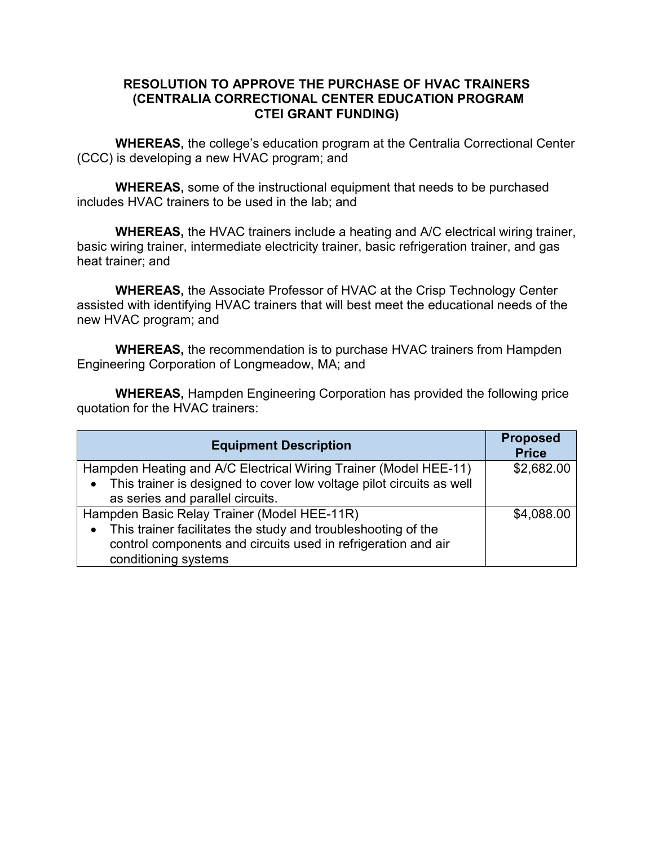## **RESOLUTION TO APPROVE THE PURCHASE OF HVAC TRAINERS (CENTRALIA CORRECTIONAL CENTER EDUCATION PROGRAM CTEI GRANT FUNDING)**

**WHEREAS,** the college's education program at the Centralia Correctional Center (CCC) is developing a new HVAC program; and

**WHEREAS,** some of the instructional equipment that needs to be purchased includes HVAC trainers to be used in the lab; and

**WHEREAS,** the HVAC trainers include a heating and A/C electrical wiring trainer, basic wiring trainer, intermediate electricity trainer, basic refrigeration trainer, and gas heat trainer; and

**WHEREAS,** the Associate Professor of HVAC at the Crisp Technology Center assisted with identifying HVAC trainers that will best meet the educational needs of the new HVAC program; and

**WHEREAS,** the recommendation is to purchase HVAC trainers from Hampden Engineering Corporation of Longmeadow, MA; and

**WHEREAS,** Hampden Engineering Corporation has provided the following price quotation for the HVAC trainers:

| <b>Equipment Description</b>                                           | <b>Proposed</b><br><b>Price</b> |
|------------------------------------------------------------------------|---------------------------------|
| Hampden Heating and A/C Electrical Wiring Trainer (Model HEE-11)       | \$2,682.00                      |
| • This trainer is designed to cover low voltage pilot circuits as well |                                 |
| as series and parallel circuits.                                       |                                 |
| Hampden Basic Relay Trainer (Model HEE-11R)                            | \$4,088.00                      |
| • This trainer facilitates the study and troubleshooting of the        |                                 |
| control components and circuits used in refrigeration and air          |                                 |
| conditioning systems                                                   |                                 |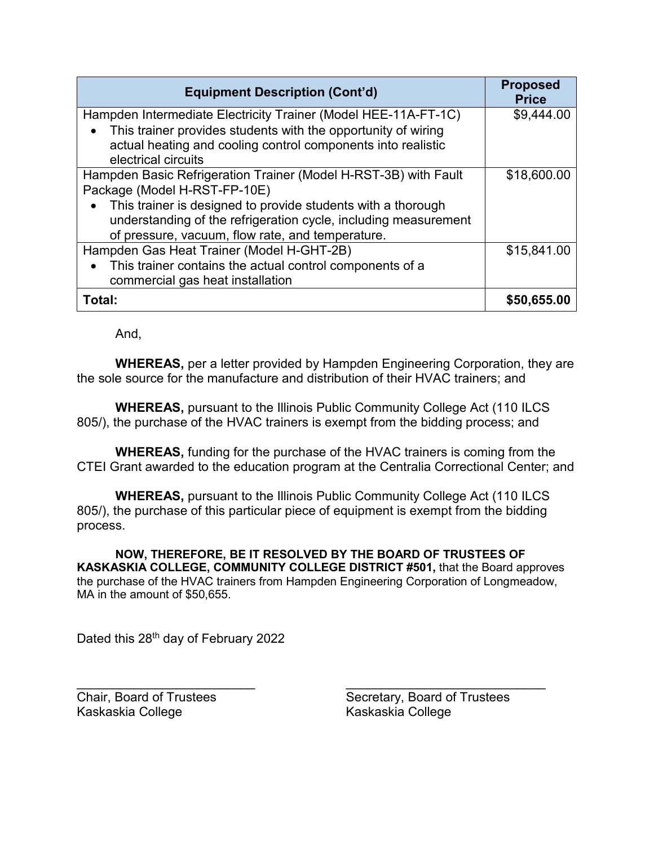| <b>Equipment Description (Cont'd)</b>                           | <b>Proposed</b><br><b>Price</b> |
|-----------------------------------------------------------------|---------------------------------|
| Hampden Intermediate Electricity Trainer (Model HEE-11A-FT-1C)  | \$9,444.00                      |
| This trainer provides students with the opportunity of wiring   |                                 |
| actual heating and cooling control components into realistic    |                                 |
| electrical circuits                                             |                                 |
| Hampden Basic Refrigeration Trainer (Model H-RST-3B) with Fault | \$18,600.00                     |
| Package (Model H-RST-FP-10E)                                    |                                 |
| This trainer is designed to provide students with a thorough    |                                 |
| understanding of the refrigeration cycle, including measurement |                                 |
| of pressure, vacuum, flow rate, and temperature.                |                                 |
| Hampden Gas Heat Trainer (Model H-GHT-2B)                       | \$15,841.00                     |
| This trainer contains the actual control components of a        |                                 |
| commercial gas heat installation                                |                                 |
| Total:                                                          | \$50,655.00                     |

And,

**WHEREAS,** per a letter provided by Hampden Engineering Corporation, they are the sole source for the manufacture and distribution of their HVAC trainers; and

**WHEREAS,** pursuant to the Illinois Public Community College Act (110 ILCS 805/), the purchase of the HVAC trainers is exempt from the bidding process; and

**WHEREAS,** funding for the purchase of the HVAC trainers is coming from the CTEI Grant awarded to the education program at the Centralia Correctional Center; and

**WHEREAS,** pursuant to the Illinois Public Community College Act (110 ILCS 805/), the purchase of this particular piece of equipment is exempt from the bidding process.

**NOW, THEREFORE, BE IT RESOLVED BY THE BOARD OF TRUSTEES OF KASKASKIA COLLEGE, COMMUNITY COLLEGE DISTRICT #501,** that the Board approves the purchase of the HVAC trainers from Hampden Engineering Corporation of Longmeadow, MA in the amount of \$50,655.

Dated this 28<sup>th</sup> day of February 2022

Kaskaskia College Kaskaskia College

\_\_\_\_\_\_\_\_\_\_\_\_\_\_\_\_\_\_\_\_\_\_\_\_\_ \_\_\_\_\_\_\_\_\_\_\_\_\_\_\_\_\_\_\_\_\_\_\_\_\_\_\_\_ Chair, Board of Trustees Secretary, Board of Trustees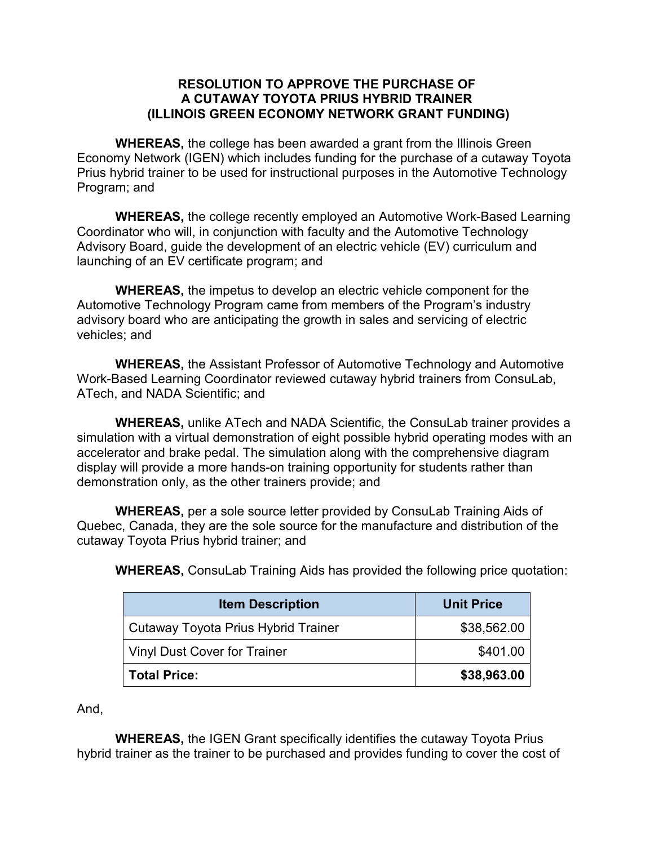#### **RESOLUTION TO APPROVE THE PURCHASE OF A CUTAWAY TOYOTA PRIUS HYBRID TRAINER (ILLINOIS GREEN ECONOMY NETWORK GRANT FUNDING)**

**WHEREAS,** the college has been awarded a grant from the Illinois Green Economy Network (IGEN) which includes funding for the purchase of a cutaway Toyota Prius hybrid trainer to be used for instructional purposes in the Automotive Technology Program; and

**WHEREAS,** the college recently employed an Automotive Work-Based Learning Coordinator who will, in conjunction with faculty and the Automotive Technology Advisory Board, guide the development of an electric vehicle (EV) curriculum and launching of an EV certificate program; and

**WHEREAS,** the impetus to develop an electric vehicle component for the Automotive Technology Program came from members of the Program's industry advisory board who are anticipating the growth in sales and servicing of electric vehicles; and

**WHEREAS,** the Assistant Professor of Automotive Technology and Automotive Work-Based Learning Coordinator reviewed cutaway hybrid trainers from ConsuLab, ATech, and NADA Scientific; and

**WHEREAS,** unlike ATech and NADA Scientific, the ConsuLab trainer provides a simulation with a virtual demonstration of eight possible hybrid operating modes with an accelerator and brake pedal. The simulation along with the comprehensive diagram display will provide a more hands-on training opportunity for students rather than demonstration only, as the other trainers provide; and

**WHEREAS,** per a sole source letter provided by ConsuLab Training Aids of Quebec, Canada, they are the sole source for the manufacture and distribution of the cutaway Toyota Prius hybrid trainer; and

| <b>Item Description</b>             | <b>Unit Price</b> |
|-------------------------------------|-------------------|
| Cutaway Toyota Prius Hybrid Trainer | \$38,562.00       |
| <b>Vinyl Dust Cover for Trainer</b> | \$401.00          |
| <b>Total Price:</b>                 | \$38,963.00       |

**WHEREAS,** ConsuLab Training Aids has provided the following price quotation:

And,

**WHEREAS,** the IGEN Grant specifically identifies the cutaway Toyota Prius hybrid trainer as the trainer to be purchased and provides funding to cover the cost of